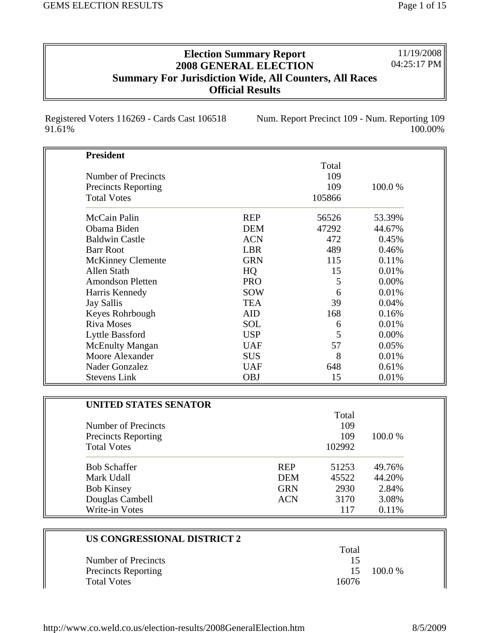11/19/2008 04:25:17 PM

## **Election Summary Report 2008 GENERAL ELECTION Summary For Jurisdiction Wide, All Counters, All Races Official Results**

Registered Voters 116269 - Cards Cast 106518 91.61%

Num. Report Precinct 109 - Num. Reporting 109 100.00%

| <b>President</b>             |            |        |        |
|------------------------------|------------|--------|--------|
|                              |            | Total  |        |
| Number of Precincts          |            | 109    |        |
| <b>Precincts Reporting</b>   |            | 109    | 100.0% |
| <b>Total Votes</b>           |            | 105866 |        |
| McCain Palin                 | <b>REP</b> | 56526  | 53.39% |
| Obama Biden                  | <b>DEM</b> | 47292  | 44.67% |
| <b>Baldwin Castle</b>        | <b>ACN</b> | 472    | 0.45%  |
| <b>Barr Root</b>             | <b>LBR</b> | 489    | 0.46%  |
| <b>McKinney Clemente</b>     | <b>GRN</b> | 115    | 0.11%  |
| Allen Stath                  | HQ         | 15     | 0.01%  |
| <b>Amondson Pletten</b>      | <b>PRO</b> | 5      | 0.00%  |
| Harris Kennedy               | <b>SOW</b> | 6      | 0.01%  |
| <b>Jay Sallis</b>            | <b>TEA</b> | 39     | 0.04%  |
| Keyes Rohrbough              | <b>AID</b> | 168    | 0.16%  |
| <b>Riva Moses</b>            | <b>SOL</b> | 6      | 0.01%  |
| Lyttle Bassford              | <b>USP</b> | 5      | 0.00%  |
| <b>McEnulty Mangan</b>       | <b>UAF</b> | 57     | 0.05%  |
| Moore Alexander              | <b>SUS</b> | 8      | 0.01%  |
| Nader Gonzalez               | <b>UAF</b> | 648    | 0.61%  |
| <b>Stevens Link</b>          | <b>OBJ</b> | 15     | 0.01%  |
|                              |            |        |        |
| <b>UNITED STATES SENATOR</b> |            |        |        |
|                              |            | Total  |        |
| Number of Precincts          |            | 109    |        |

| Number of Precincts        |            | 1 vul<br>109 |         |
|----------------------------|------------|--------------|---------|
| <b>Precincts Reporting</b> |            | 109          | 100.0 % |
| <b>Total Votes</b>         |            | 102992       |         |
| <b>Bob Schaffer</b>        | <b>REP</b> | 51253        | 49.76%  |
| Mark Udall                 | <b>DEM</b> | 45522        | 44.20%  |
| <b>Bob Kinsey</b>          | <b>GRN</b> | 2930         | 2.84%   |
| Douglas Cambell            | <b>ACN</b> | 3170         | 3.08%   |
| Write-in Votes             |            | 117          | 0.11%   |

| US CONGRESSIONAL DISTRICT 2 |       |           |
|-----------------------------|-------|-----------|
|                             | Total |           |
| Number of Precincts         | 15    |           |
| <b>Precincts Reporting</b>  | 15    | $100.0\%$ |
| <b>Total Votes</b>          | 16076 |           |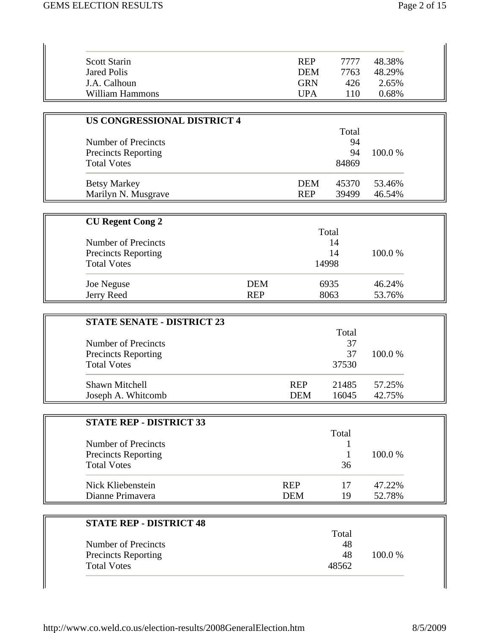| Scott Starin    | <b>REP</b> | 7777 | 48.38% |
|-----------------|------------|------|--------|
| Jared Polis     | DEM        | 7763 | 48.29% |
| J.A. Calhoun    | <b>GRN</b> | 426  | 2.65%  |
| William Hammons | UPA        | 110  | 0.68%  |

| <b>US CONGRESSIONAL DISTRICT 4</b> |            |       |         |
|------------------------------------|------------|-------|---------|
|                                    |            | Total |         |
| Number of Precincts                |            | 94    |         |
| <b>Precincts Reporting</b>         |            | 94    | 100.0 % |
| <b>Total Votes</b>                 |            | 84869 |         |
| <b>Betsy Markey</b>                | <b>DEM</b> | 45370 | 53.46%  |
| Marilyn N. Musgrave                | <b>REP</b> | 39499 | 46.54%  |

| <b>CU Regent Cong 2</b>    |            |       |         |
|----------------------------|------------|-------|---------|
|                            |            | Total |         |
| Number of Precincts        |            | 14    |         |
| <b>Precincts Reporting</b> |            | 14    | 100.0 % |
| <b>Total Votes</b>         |            | 14998 |         |
| Joe Neguse                 | <b>DEM</b> | 6935  | 46.24%  |
| Jerry Reed                 | <b>REP</b> | 8063  | 53.76%  |

| <b>STATE SENATE - DISTRICT 23</b> |            |       |         |
|-----------------------------------|------------|-------|---------|
|                                   |            | Total |         |
| Number of Precincts               |            | 37    |         |
| <b>Precincts Reporting</b>        |            | 37    | 100.0 % |
| <b>Total Votes</b>                |            | 37530 |         |
| <b>Shawn Mitchell</b>             | <b>REP</b> | 21485 | 57.25%  |
| Joseph A. Whitcomb                | <b>DEM</b> | 16045 | 42.75%  |

| <b>STATE REP - DISTRICT 33</b> |            |       |         |
|--------------------------------|------------|-------|---------|
|                                |            | Total |         |
| Number of Precincts            |            |       |         |
| <b>Precincts Reporting</b>     |            |       | 100.0 % |
| <b>Total Votes</b>             |            | 36    |         |
| Nick Kliebenstein              | <b>REP</b> | 17    | 47.22%  |
| Dianne Primavera               | DEM        | 19    | 52.78%  |

| <b>STATE REP - DISTRICT 48</b> |       |         |
|--------------------------------|-------|---------|
|                                | Total |         |
| Number of Precincts            | 48    |         |
| <b>Precincts Reporting</b>     | 48    | 100.0 % |
| <b>Total Votes</b>             | 48562 |         |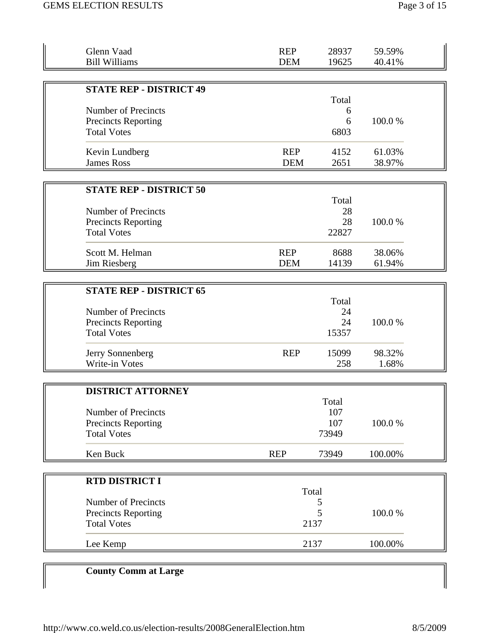| Glenn Vaad<br><b>Bill Williams</b>                                                                               | <b>REP</b><br><b>DEM</b> | 28937<br>19625             | 59.59%<br>40.41% |  |
|------------------------------------------------------------------------------------------------------------------|--------------------------|----------------------------|------------------|--|
|                                                                                                                  |                          |                            |                  |  |
| <b>STATE REP - DISTRICT 49</b><br><b>Number of Precincts</b><br><b>Precincts Reporting</b><br><b>Total Votes</b> |                          | Total<br>6<br>6<br>6803    | 100.0%           |  |
| Kevin Lundberg<br><b>James Ross</b>                                                                              | <b>REP</b><br><b>DEM</b> | 4152<br>2651               | 61.03%<br>38.97% |  |
| <b>STATE REP - DISTRICT 50</b>                                                                                   |                          | Total                      |                  |  |
| Number of Precincts<br><b>Precincts Reporting</b><br><b>Total Votes</b>                                          |                          | 28<br>28<br>22827          | 100.0%           |  |
| Scott M. Helman<br>Jim Riesberg                                                                                  | <b>REP</b><br><b>DEM</b> | 8688<br>14139              | 38.06%<br>61.94% |  |
|                                                                                                                  |                          |                            |                  |  |
| <b>STATE REP - DISTRICT 65</b><br><b>Number of Precincts</b><br>Precincts Reporting<br><b>Total Votes</b>        |                          | Total<br>24<br>24<br>15357 | 100.0%           |  |
| Jerry Sonnenberg<br>Write-in Votes                                                                               | <b>REP</b>               | 15099<br>258               | 98.32%<br>1.68%  |  |
| <b>DISTRICT ATTORNEY</b><br>Number of Precincts<br><b>Precincts Reporting</b>                                    |                          | Total<br>107<br>107        | 100.0%           |  |
| <b>Total Votes</b><br>Ken Buck                                                                                   | <b>REP</b>               | 73949<br>73949             | 100.00%          |  |
|                                                                                                                  |                          |                            |                  |  |
| <b>RTD DISTRICT I</b>                                                                                            |                          | Total                      |                  |  |
| Number of Precincts<br><b>Precincts Reporting</b><br><b>Total Votes</b>                                          |                          | 5<br>5<br>2137             | 100.0%           |  |
| Lee Kemp                                                                                                         |                          | 2137                       | 100.00%          |  |

## **County Comm at Large**

 $\parallel$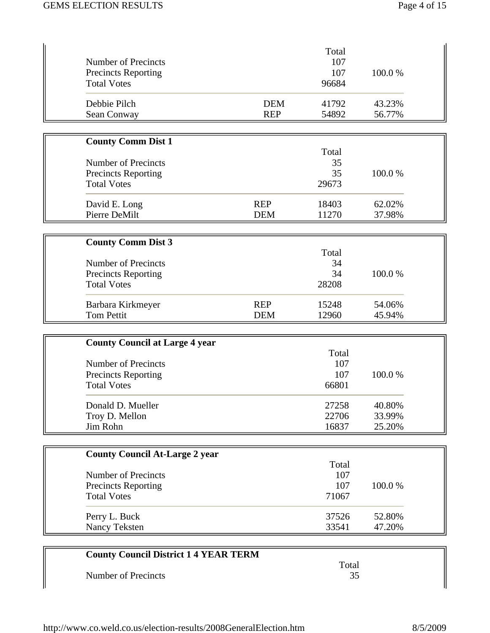| <b>Number of Precincts</b><br><b>Precincts Reporting</b><br><b>Total Votes</b> |                          | Total<br>107<br>107<br>96684 | 100.0%                     |
|--------------------------------------------------------------------------------|--------------------------|------------------------------|----------------------------|
| Debbie Pilch<br>Sean Conway                                                    | <b>DEM</b><br><b>REP</b> | 41792<br>54892               | 43.23%<br>56.77%           |
| <b>County Comm Dist 1</b>                                                      |                          |                              |                            |
| <b>Number of Precincts</b><br><b>Precincts Reporting</b><br><b>Total Votes</b> |                          | Total<br>35<br>35<br>29673   | 100.0%                     |
| David E. Long<br>Pierre DeMilt                                                 | <b>REP</b><br><b>DEM</b> | 18403<br>11270               | 62.02%<br>37.98%           |
| <b>County Comm Dist 3</b>                                                      |                          |                              |                            |
| <b>Number of Precincts</b><br><b>Precincts Reporting</b><br><b>Total Votes</b> |                          | Total<br>34<br>34<br>28208   | 100.0%                     |
| Barbara Kirkmeyer<br><b>Tom Pettit</b>                                         | <b>REP</b><br><b>DEM</b> | 15248<br>12960               | 54.06%<br>45.94%           |
| <b>County Council at Large 4 year</b>                                          |                          |                              |                            |
| <b>Number of Precincts</b><br><b>Precincts Reporting</b><br><b>Total Votes</b> |                          | Total<br>107<br>107<br>66801 | 100.0%                     |
| Donald D. Mueller<br>Troy D. Mellon<br>Jim Rohn                                |                          | 27258<br>22706<br>16837      | 40.80%<br>33.99%<br>25.20% |
| <b>County Council At-Large 2 year</b>                                          |                          |                              |                            |
| Number of Precincts<br><b>Precincts Reporting</b><br><b>Total Votes</b>        |                          | Total<br>107<br>107<br>71067 | 100.0%                     |
| Perry L. Buck<br>Nancy Teksten                                                 |                          | 37526<br>33541               | 52.80%<br>47.20%           |
| <b>County Council District 1 4 YEAR TERM</b>                                   |                          |                              |                            |
| <b>Number of Precincts</b>                                                     |                          | Total<br>35                  |                            |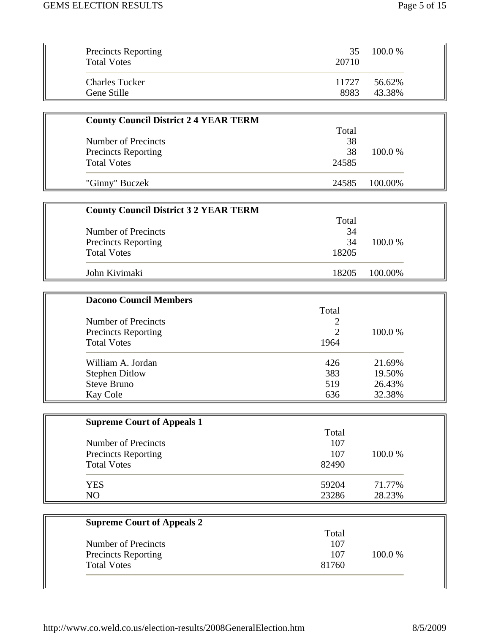| <b>Precincts Reporting</b><br><b>Total Votes</b> | 35<br>20710 | $100.0\%$ |
|--------------------------------------------------|-------------|-----------|
| <b>Charles Tucker</b>                            | 11727       | 56.62%    |
| Gene Stille                                      | 8983        | 43.38%    |

| <b>County Council District 2 4 YEAR TERM</b> |       |         |
|----------------------------------------------|-------|---------|
|                                              | Total |         |
| Number of Precincts                          | 38    |         |
| <b>Precincts Reporting</b>                   | 38    | 100.0 % |
| <b>Total Votes</b>                           | 24585 |         |
| "Ginny" Buczek                               | 24585 | 100.00% |

| <b>County Council District 3 2 YEAR TERM</b> |       |         |  |
|----------------------------------------------|-------|---------|--|
|                                              | Total |         |  |
| Number of Precincts                          | 34    |         |  |
| <b>Precincts Reporting</b>                   | 34    | 100.0 % |  |
| <b>Total Votes</b>                           | 18205 |         |  |
| John Kivimaki                                | 18205 | 100.00% |  |

| <b>Dacono Council Members</b> |       |         |
|-------------------------------|-------|---------|
|                               | Total |         |
| Number of Precincts           | 2     |         |
| <b>Precincts Reporting</b>    | 2     | 100.0 % |
| <b>Total Votes</b>            | 1964  |         |
| William A. Jordan             | 426   | 21.69%  |
| <b>Stephen Ditlow</b>         | 383   | 19.50%  |
| <b>Steve Bruno</b>            | 519   | 26.43%  |
| Kay Cole                      | 636   | 32.38%  |

| <b>Supreme Court of Appeals 1</b> |       |         |  |
|-----------------------------------|-------|---------|--|
|                                   | Total |         |  |
| Number of Precincts               | 107   |         |  |
| <b>Precincts Reporting</b>        | 107   | 100.0 % |  |
| <b>Total Votes</b>                | 82490 |         |  |
| <b>YES</b>                        | 59204 | 71.77%  |  |
| NO                                | 23286 | 28.23%  |  |

| <b>Supreme Court of Appeals 2</b> |       |         |
|-----------------------------------|-------|---------|
|                                   | Total |         |
| Number of Precincts               | 107   |         |
| <b>Precincts Reporting</b>        | 107   | 100.0 % |
| <b>Total Votes</b>                | 81760 |         |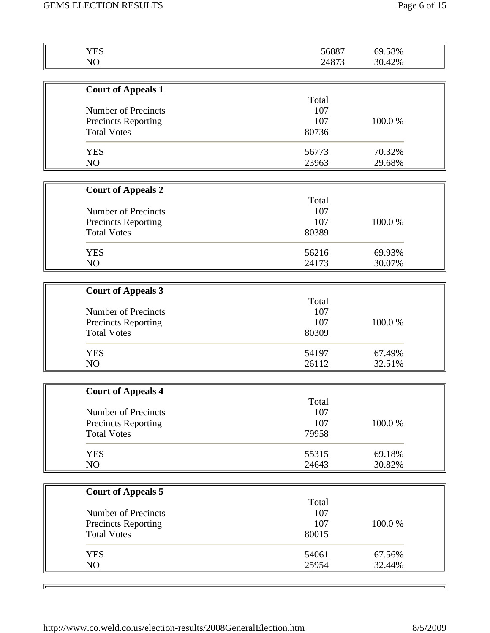| <b>YES</b>                 | 56887 | 69.58% |
|----------------------------|-------|--------|
| NO                         | 24873 | 30.42% |
|                            |       |        |
| <b>Court of Appeals 1</b>  |       |        |
|                            | Total |        |
| Number of Precincts        | 107   |        |
| <b>Precincts Reporting</b> | 107   | 100.0% |
| <b>Total Votes</b>         | 80736 |        |
| <b>YES</b>                 | 56773 | 70.32% |
| NO                         | 23963 | 29.68% |
|                            |       |        |
| <b>Court of Appeals 2</b>  |       |        |
|                            | Total |        |
| Number of Precincts        | 107   |        |
| Precincts Reporting        | 107   | 100.0% |
| <b>Total Votes</b>         | 80389 |        |
|                            |       |        |
| <b>YES</b>                 | 56216 | 69.93% |
| NO                         | 24173 | 30.07% |
|                            |       |        |
| <b>Court of Appeals 3</b>  |       |        |
|                            | Total |        |
| Number of Precincts        | 107   |        |
| Precincts Reporting        | 107   | 100.0% |
| <b>Total Votes</b>         | 80309 |        |
|                            |       |        |
| <b>YES</b>                 | 54197 | 67.49% |
| NO                         | 26112 | 32.51% |
|                            |       |        |
| <b>Court of Appeals 4</b>  |       |        |
|                            | Total |        |
| <b>Number of Precincts</b> | 107   |        |
| <b>Precincts Reporting</b> | 107   | 100.0% |
| <b>Total Votes</b>         | 79958 |        |
| <b>YES</b>                 | 55315 | 69.18% |
| NO                         | 24643 | 30.82% |
|                            |       |        |
| <b>Court of Appeals 5</b>  |       |        |
|                            | Total |        |
| Number of Precincts        | 107   |        |
| Precincts Reporting        | 107   | 100.0% |
| <b>Total Votes</b>         | 80015 |        |
|                            |       |        |
| <b>YES</b>                 | 54061 | 67.56% |
| NO                         | 25954 | 32.44% |

 $\overline{ }$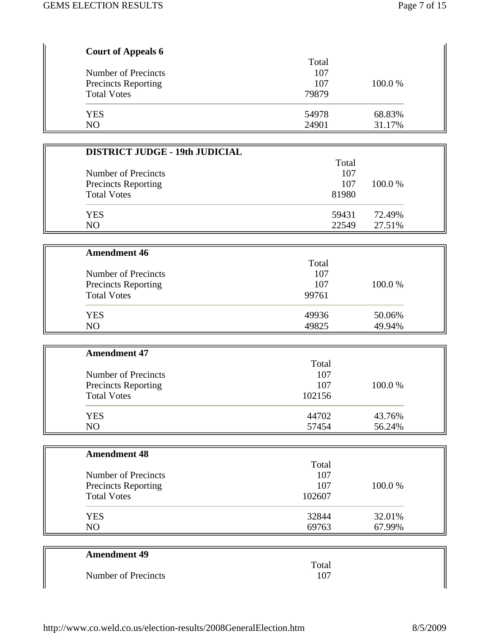| <b>Court of Appeals 6</b>  |       |         |
|----------------------------|-------|---------|
|                            | Total |         |
| Number of Precincts        | 107   |         |
| <b>Precincts Reporting</b> | 107   | 100.0 % |
| <b>Total Votes</b>         | 79879 |         |
| <b>YES</b>                 | 54978 | 68.83%  |
| NO                         | 24901 | 31.17%  |

| <b>DISTRICT JUDGE - 19th JUDICIAL</b> |       |         |
|---------------------------------------|-------|---------|
|                                       | Total |         |
| Number of Precincts                   | 107   |         |
| <b>Precincts Reporting</b>            | 107   | 100.0 % |
| <b>Total Votes</b>                    | 81980 |         |
| <b>YES</b>                            | 59431 | 72.49%  |
| N <sub>O</sub>                        | 22549 | 27.51%  |

| <b>Amendment 46</b>        |       |         |
|----------------------------|-------|---------|
|                            | Total |         |
| Number of Precincts        | 107   |         |
| <b>Precincts Reporting</b> | 107   | 100.0 % |
| <b>Total Votes</b>         | 99761 |         |
| <b>YES</b>                 | 49936 | 50.06%  |
| NO                         | 49825 | 49.94%  |

| <b>Amendment 47</b>        |        |         |
|----------------------------|--------|---------|
|                            | Total  |         |
| Number of Precincts        | 107    |         |
| <b>Precincts Reporting</b> | 107    | 100.0 % |
| <b>Total Votes</b>         | 102156 |         |
| <b>YES</b>                 | 44702  | 43.76%  |
| N <sub>O</sub>             | 57454  | 56.24%  |

| <b>Amendment 48</b>        |        |         |
|----------------------------|--------|---------|
|                            | Total  |         |
| Number of Precincts        | 107    |         |
| <b>Precincts Reporting</b> | 107    | 100.0 % |
| <b>Total Votes</b>         | 102607 |         |
| <b>YES</b>                 | 32844  | 32.01%  |
| NO                         | 69763  | 67.99%  |

| <b>Amendment 49</b> |       |
|---------------------|-------|
|                     | Total |
| Number of Precincts | 107   |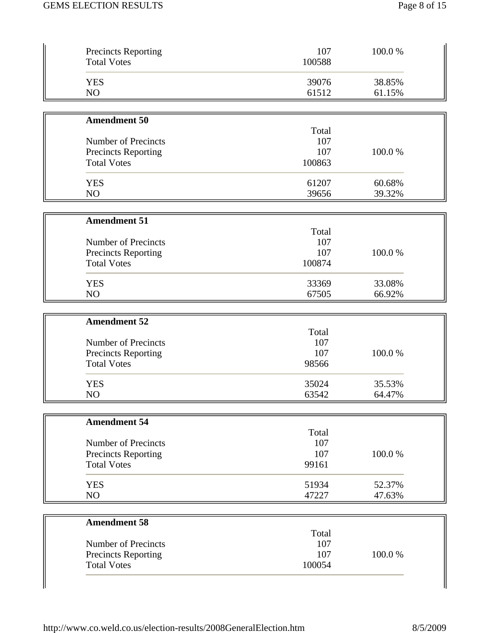| <b>Precincts Reporting</b><br><b>Total Votes</b> | 107<br>100588 | 100.0% |
|--------------------------------------------------|---------------|--------|
| <b>YES</b>                                       | 39076         | 38.85% |
| NO                                               | 61512         | 61.15% |
| <b>Amendment 50</b>                              |               |        |
|                                                  | Total         |        |
| Number of Precincts                              | 107           |        |
| <b>Precincts Reporting</b>                       | 107           | 100.0% |
| <b>Total Votes</b>                               | 100863        |        |
| <b>YES</b>                                       | 61207         | 60.68% |
| NO                                               | 39656         | 39.32% |
| <b>Amendment 51</b>                              |               |        |
|                                                  | Total         |        |
| Number of Precincts                              | 107           |        |
| <b>Precincts Reporting</b>                       | 107           | 100.0% |
| <b>Total Votes</b>                               | 100874        |        |
| <b>YES</b>                                       | 33369         | 33.08% |
| NO                                               | 67505         | 66.92% |
| <b>Amendment 52</b>                              |               |        |
|                                                  | Total         |        |
| Number of Precincts                              | 107           |        |
| <b>Precincts Reporting</b>                       | 107           | 100.0% |
| <b>Total Votes</b>                               | 98566         |        |
| <b>YES</b>                                       | 35024         | 35.53% |
| NO                                               | 63542         | 64.47% |
| <b>Amendment 54</b>                              |               |        |
|                                                  | Total         |        |
| Number of Precincts                              | 107           |        |
| Precincts Reporting                              | 107           | 100.0% |
| <b>Total Votes</b>                               | 99161         |        |
| <b>YES</b>                                       | 51934         | 52.37% |
| NO                                               | 47227         | 47.63% |
| <b>Amendment 58</b>                              |               |        |
|                                                  | Total         |        |
| Number of Precincts                              | 107           |        |
| <b>Precincts Reporting</b>                       | 107           | 100.0% |
| <b>Total Votes</b>                               | 100054        |        |

 $\parallel$ 

 $\parallel$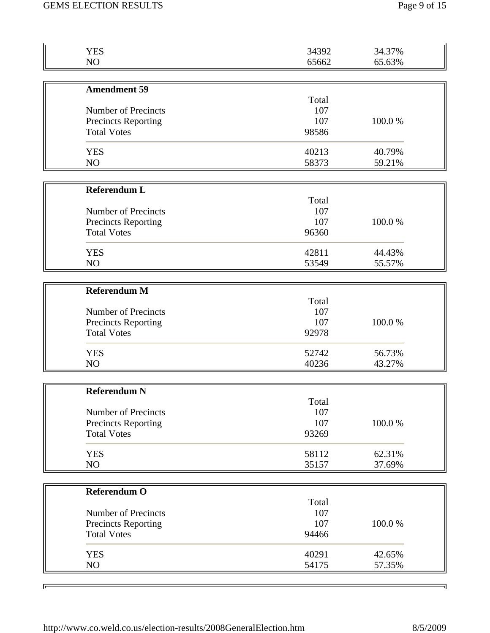| <b>YES</b>                 | 34392 | 34.37% |
|----------------------------|-------|--------|
| NO                         | 65662 | 65.63% |
|                            |       |        |
| <b>Amendment 59</b>        |       |        |
|                            | Total |        |
| Number of Precincts        | 107   |        |
| <b>Precincts Reporting</b> | 107   | 100.0% |
| <b>Total Votes</b>         | 98586 |        |
| <b>YES</b>                 | 40213 | 40.79% |
| NO                         | 58373 | 59.21% |
|                            |       |        |
| <b>Referendum L</b>        |       |        |
|                            | Total |        |
| Number of Precincts        | 107   |        |
| <b>Precincts Reporting</b> | 107   | 100.0% |
| <b>Total Votes</b>         | 96360 |        |
| <b>YES</b>                 | 42811 | 44.43% |
| NO                         | 53549 | 55.57% |
|                            |       |        |
| <b>Referendum M</b>        |       |        |
|                            | Total |        |
| Number of Precincts        | 107   |        |
| Precincts Reporting        | 107   | 100.0% |
| <b>Total Votes</b>         | 92978 |        |
|                            |       |        |
| <b>YES</b>                 | 52742 | 56.73% |
| NO                         | 40236 | 43.27% |
|                            |       |        |
| <b>Referendum N</b>        | Total |        |
| Number of Precincts        | 107   |        |
| <b>Precincts Reporting</b> | 107   | 100.0% |
| <b>Total Votes</b>         | 93269 |        |
|                            |       |        |
| <b>YES</b>                 | 58112 | 62.31% |
| NO                         | 35157 | 37.69% |
|                            |       |        |
| <b>Referendum O</b>        |       |        |
|                            | Total |        |
| Number of Precincts        | 107   |        |
| <b>Precincts Reporting</b> | 107   | 100.0% |
| <b>Total Votes</b>         | 94466 |        |
| <b>YES</b>                 | 40291 | 42.65% |
| NO                         | 54175 | 57.35% |
|                            |       |        |

 $\overline{ }$ 

 $\overline{\phantom{a}}$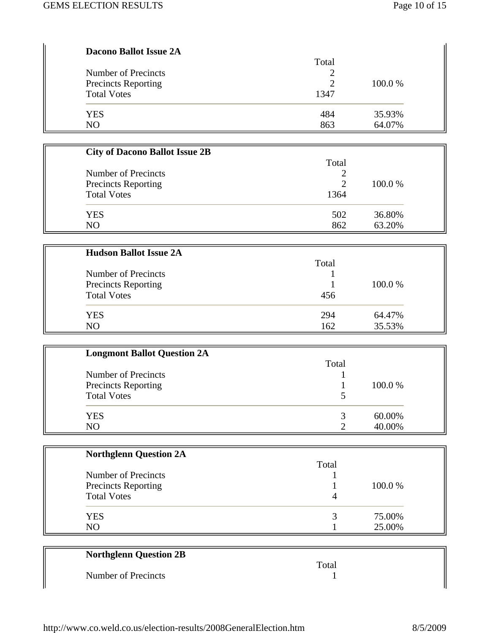| <b>Dacono Ballot Issue 2A</b>                     |       |         |  |
|---------------------------------------------------|-------|---------|--|
|                                                   | Total |         |  |
| Number of Precincts<br><b>Precincts Reporting</b> |       | 100.0 % |  |
|                                                   |       |         |  |
| <b>Total Votes</b>                                | 1347  |         |  |
| <b>YES</b>                                        | 484   | 35.93%  |  |
| N <sub>O</sub>                                    | 863   | 64.07%  |  |

| <b>City of Dacono Ballot Issue 2B</b> |       |         |
|---------------------------------------|-------|---------|
|                                       | Total |         |
| Number of Precincts                   |       |         |
| <b>Precincts Reporting</b>            | 2     | 100.0 % |
| <b>Total Votes</b>                    | 1364  |         |
| <b>YES</b>                            | 502   | 36.80%  |
| NO                                    | 862   | 63.20%  |

| <b>Hudson Ballot Issue 2A</b> |       |         |
|-------------------------------|-------|---------|
|                               | Total |         |
| Number of Precincts           |       |         |
| <b>Precincts Reporting</b>    |       | 100.0 % |
| <b>Total Votes</b>            | 456   |         |
| <b>YES</b>                    | 294   | 64.47%  |
| N <sub>O</sub>                | 162   | 35.53%  |

| <b>Longmont Ballot Question 2A</b> |       |         |
|------------------------------------|-------|---------|
|                                    | Total |         |
| Number of Precincts                |       |         |
| <b>Precincts Reporting</b>         |       | 100.0 % |
| <b>Total Votes</b>                 |       |         |
| <b>YES</b>                         |       | 60.00%  |
| NO                                 |       | 40.00%  |

| <b>Northglenn Question 2A</b> |       |         |
|-------------------------------|-------|---------|
|                               | Total |         |
| Number of Precincts           |       |         |
| <b>Precincts Reporting</b>    |       | 100.0 % |
| <b>Total Votes</b>            | 4     |         |
| <b>YES</b>                    | 3     | 75.00%  |
| N <sub>O</sub>                |       | 25.00%  |

## **Northglenn Question 2B**

Number of Precincts 1

Total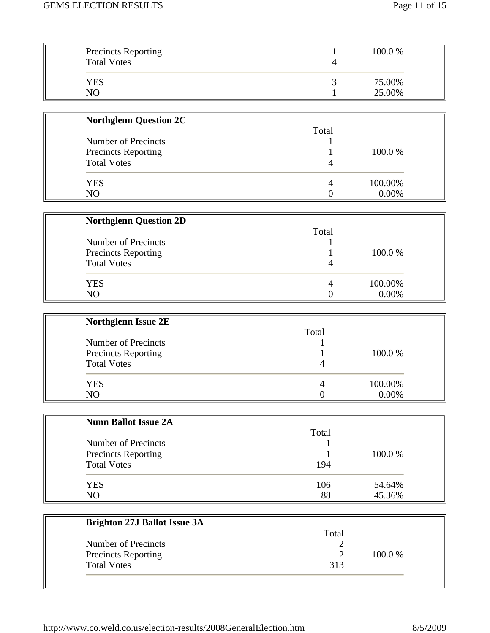| <b>Northglenn Question 2C</b> |       |         |
|-------------------------------|-------|---------|
|                               | Total |         |
| Number of Precincts           |       |         |
| <b>Precincts Reporting</b>    |       | 100.0 % |
| <b>Total Votes</b>            |       |         |
| <b>YES</b>                    |       | 100.00% |
| NO                            |       | 0.00%   |

| <b>Northglenn Question 2D</b> |       |         |
|-------------------------------|-------|---------|
|                               | Total |         |
| Number of Precincts           |       |         |
| <b>Precincts Reporting</b>    |       | 100.0 % |
| <b>Total Votes</b>            |       |         |
| YES                           |       | 100.00% |
| NO                            |       | 0.00%   |

| <b>Northglenn Issue 2E</b> |       |         |
|----------------------------|-------|---------|
|                            | Total |         |
| Number of Precincts        |       |         |
| <b>Precincts Reporting</b> |       | 100.0 % |
| <b>Total Votes</b>         |       |         |
| <b>YES</b>                 | 4     | 100.00% |
| NO                         |       | 0.00%   |

| <b>Nunn Ballot Issue 2A</b> |       |         |
|-----------------------------|-------|---------|
|                             | Total |         |
| Number of Precincts         |       |         |
| <b>Precincts Reporting</b>  |       | 100.0 % |
| <b>Total Votes</b>          | 194   |         |
| <b>YES</b>                  | 106   | 54.64%  |
| N <sub>O</sub>              | 88    | 45.36%  |

| <b>Brighton 27J Ballot Issue 3A</b> |       |         |
|-------------------------------------|-------|---------|
|                                     | Total |         |
| Number of Precincts                 |       |         |
| Precincts Reporting                 |       | 100.0 % |
| <b>Total Votes</b>                  | 313   |         |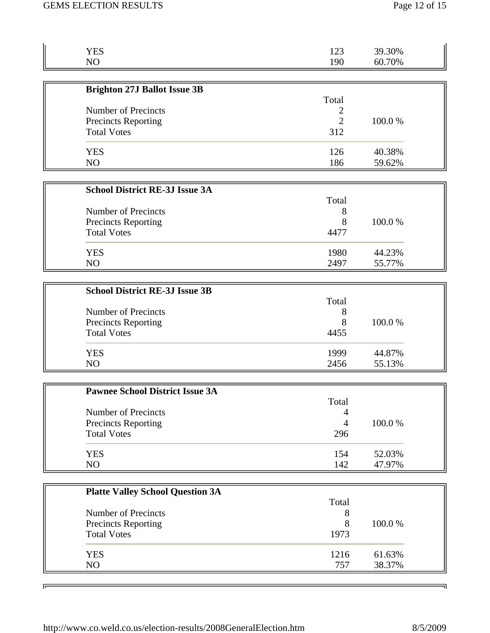| <b>YES</b>                                       | 123            | 39.30%           |  |
|--------------------------------------------------|----------------|------------------|--|
| NO                                               | 190            | 60.70%           |  |
|                                                  |                |                  |  |
| <b>Brighton 27J Ballot Issue 3B</b>              |                |                  |  |
|                                                  | Total          |                  |  |
| <b>Number of Precincts</b>                       | 2              |                  |  |
| <b>Precincts Reporting</b>                       | $\overline{2}$ | 100.0%           |  |
| <b>Total Votes</b>                               | 312            |                  |  |
|                                                  |                |                  |  |
| <b>YES</b>                                       | 126<br>186     | 40.38%           |  |
| NO                                               |                | 59.62%           |  |
|                                                  |                |                  |  |
| <b>School District RE-3J Issue 3A</b>            |                |                  |  |
|                                                  | Total          |                  |  |
| <b>Number of Precincts</b>                       | 8              |                  |  |
| <b>Precincts Reporting</b>                       | 8              | 100.0%           |  |
| <b>Total Votes</b>                               | 4477           |                  |  |
| <b>YES</b>                                       | 1980           | 44.23%           |  |
| NO                                               | 2497           | 55.77%           |  |
|                                                  |                |                  |  |
| <b>School District RE-3J Issue 3B</b>            |                |                  |  |
|                                                  | Total          |                  |  |
| <b>Number of Precincts</b>                       | 8              |                  |  |
| <b>Precincts Reporting</b>                       | 8              | 100.0%           |  |
| <b>Total Votes</b>                               | 4455           |                  |  |
|                                                  |                |                  |  |
| <b>YES</b>                                       | 1999           | 44.87%           |  |
| NO                                               | 2456           | 55.13%           |  |
|                                                  |                |                  |  |
| <b>Pawnee School District Issue 3A</b>           |                |                  |  |
|                                                  | Total          |                  |  |
| Number of Precincts                              | 4              |                  |  |
| Precincts Reporting                              | $\overline{4}$ | 100.0%           |  |
| <b>Total Votes</b>                               | 296            |                  |  |
|                                                  |                |                  |  |
| <b>YES</b><br>NO                                 | 154<br>142     | 52.03%<br>47.97% |  |
|                                                  |                |                  |  |
|                                                  |                |                  |  |
| <b>Platte Valley School Question 3A</b>          |                |                  |  |
| <b>Number of Precincts</b>                       | Total<br>8     |                  |  |
|                                                  | 8              | 100.0%           |  |
| <b>Precincts Reporting</b><br><b>Total Votes</b> | 1973           |                  |  |
|                                                  |                |                  |  |
| <b>YES</b>                                       | 1216           | 61.63%           |  |
| NO                                               | 757            | 38.37%           |  |
|                                                  |                |                  |  |

 $\overline{ }$ 

 $\overline{\phantom{a}}$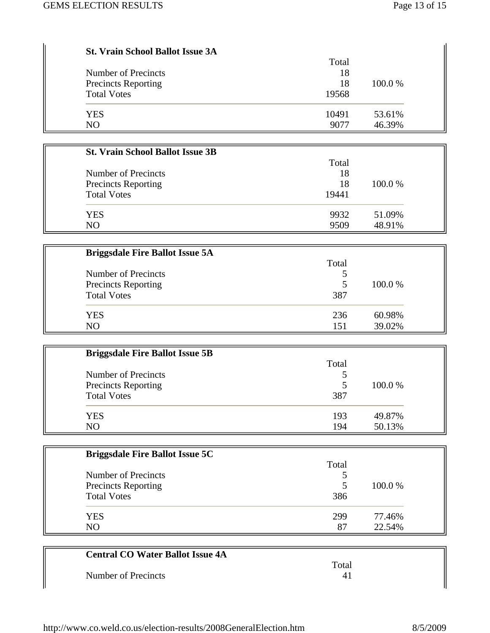| <b>St. Vrain School Ballot Issue 3A</b> | Total |         |
|-----------------------------------------|-------|---------|
| Number of Precincts                     | 18    |         |
| <b>Precincts Reporting</b>              | 18    | 100.0 % |
| <b>Total Votes</b>                      | 19568 |         |
| YES                                     | 10491 | 53.61%  |
| N <sub>O</sub>                          | 9077  | 46.39%  |

| <b>St. Vrain School Ballot Issue 3B</b> |       |         |
|-----------------------------------------|-------|---------|
|                                         | Total |         |
| Number of Precincts                     | 18    |         |
| <b>Precincts Reporting</b>              | 18    | 100.0 % |
| <b>Total Votes</b>                      | 19441 |         |
| <b>YES</b>                              | 9932  | 51.09%  |
| N <sub>O</sub>                          | 9509  | 48.91%  |

| <b>Briggsdale Fire Ballot Issue 5A</b> |       |         |
|----------------------------------------|-------|---------|
|                                        | Total |         |
| Number of Precincts                    |       |         |
| <b>Precincts Reporting</b>             | 5     | 100.0 % |
| <b>Total Votes</b>                     | 387   |         |
| <b>YES</b>                             | 236   | 60.98%  |
| N <sub>O</sub>                         | 151   | 39.02%  |

| <b>Briggsdale Fire Ballot Issue 5B</b> |       |         |
|----------------------------------------|-------|---------|
|                                        | Total |         |
| Number of Precincts                    |       |         |
| <b>Precincts Reporting</b>             | 5     | 100.0 % |
| <b>Total Votes</b>                     | 387   |         |
| <b>YES</b>                             | 193   | 49.87%  |
| N <sub>O</sub>                         | 194   | 50.13%  |

| <b>Briggsdale Fire Ballot Issue 5C</b> |       |         |
|----------------------------------------|-------|---------|
|                                        | Total |         |
| Number of Precincts                    |       |         |
| <b>Precincts Reporting</b>             | 5     | 100.0 % |
| <b>Total Votes</b>                     | 386   |         |
| <b>YES</b>                             | 299   | 77.46%  |
| N <sub>O</sub>                         | 87    | 22.54%  |

| <b>Central CO Water Ballot Issue 4A</b> |       |  |
|-----------------------------------------|-------|--|
|                                         | Total |  |
| Number of Precincts                     | 41    |  |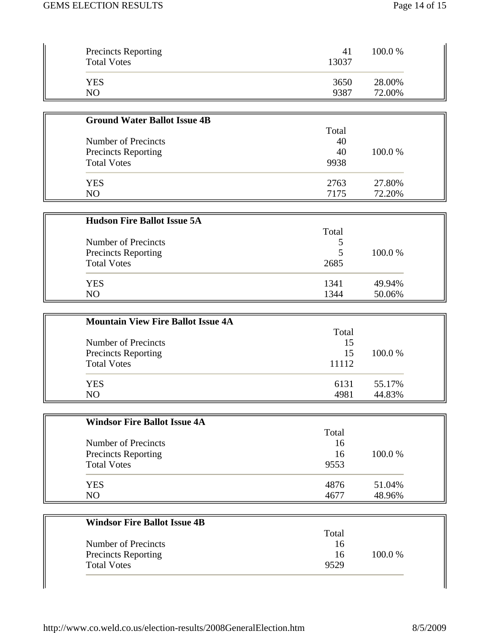| <b>Precincts Reporting</b><br><b>Total Votes</b> | 41<br>13037 | 100.0 % |
|--------------------------------------------------|-------------|---------|
| YES                                              | 3650        | 28.00%  |
| NO                                               | 9387        | 72.00%  |

| <b>Ground Water Ballot Issue 4B</b> |       |         |
|-------------------------------------|-------|---------|
|                                     | Total |         |
| Number of Precincts                 | 40    |         |
| <b>Precincts Reporting</b>          | 40    | 100.0 % |
| <b>Total Votes</b>                  | 9938  |         |
| <b>YES</b>                          | 2763  | 27.80%  |
| N <sub>O</sub>                      | 7175  | 72.20%  |

| <b>Hudson Fire Ballot Issue 5A</b> |       |         |
|------------------------------------|-------|---------|
|                                    | Total |         |
| Number of Precincts                |       |         |
| <b>Precincts Reporting</b>         |       | 100.0 % |
| <b>Total Votes</b>                 | 2685  |         |
| YES                                | 1341  | 49.94%  |
| NO                                 | 1344  | 50.06%  |

| <b>Mountain View Fire Ballot Issue 4A</b> |       |         |
|-------------------------------------------|-------|---------|
|                                           | Total |         |
| Number of Precincts                       | 15    |         |
| <b>Precincts Reporting</b>                | 15    | 100.0 % |
| <b>Total Votes</b>                        | 11112 |         |
| <b>YES</b>                                | 6131  | 55.17%  |
| NO                                        | 4981  | 44.83%  |

| <b>Windsor Fire Ballot Issue 4A</b> |       |         |
|-------------------------------------|-------|---------|
|                                     | Total |         |
| Number of Precincts                 | 16    |         |
| <b>Precincts Reporting</b>          | 16    | 100.0 % |
| <b>Total Votes</b>                  | 9553  |         |
| <b>YES</b>                          | 4876  | 51.04%  |
| N <sub>O</sub>                      | 4677  | 48.96%  |

| <b>Windsor Fire Ballot Issue 4B</b> |       |         |
|-------------------------------------|-------|---------|
|                                     | Total |         |
| Number of Precincts                 | 16    |         |
| <b>Precincts Reporting</b>          | 16    | 100.0 % |
| <b>Total Votes</b>                  | 9529  |         |